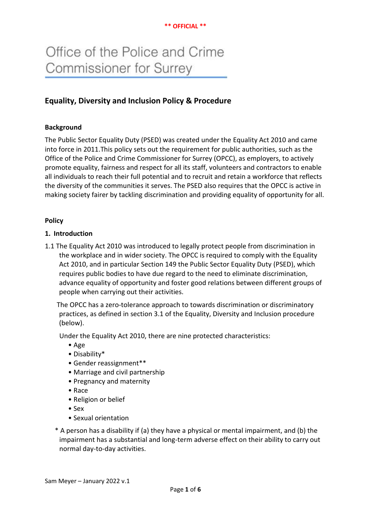## **\*\* OFFICIAL \*\***

# Office of the Police and Crime Commissioner for Surrey

## **Equality, Diversity and Inclusion Policy & Procedure**

## **Background**

The Public Sector Equality Duty (PSED) was created under the Equality Act 2010 and came into force in 2011.This policy sets out the requirement for public authorities, such as the Office of the Police and Crime Commissioner for Surrey (OPCC), as employers, to actively promote equality, fairness and respect for all its staff, volunteers and contractors to enable all individuals to reach their full potential and to recruit and retain a workforce that reflects the diversity of the communities it serves. The PSED also requires that the OPCC is active in making society fairer by tackling discrimination and providing equality of opportunity for all.

## **Policy**

## **1. Introduction**

1.1 The Equality Act 2010 was introduced to legally protect people from discrimination in the workplace and in wider society. The OPCC is required to comply with the Equality Act 2010, and in particular Section 149 the Public Sector Equality Duty (PSED), which requires public bodies to have due regard to the need to eliminate discrimination, advance equality of opportunity and foster good relations between different groups of people when carrying out their activities.

 The OPCC has a zero-tolerance approach to towards discrimination or discriminatory practices, as defined in section 3.1 of the Equality, Diversity and Inclusion procedure (below).

Under the Equality Act 2010, there are nine protected characteristics:

- [Age](https://www.legislation.gov.uk/ukpga/2010/15/section/5)
- [Disability\\*](https://www.legislation.gov.uk/ukpga/2010/15/section/6)
- [Gender reassignment\\*](https://www.legislation.gov.uk/ukpga/2010/15/section/7)\*
- [Marriage and civil partnership](https://www.legislation.gov.uk/ukpga/2010/15/section/8)
- [Pregnancy and maternity](https://www.legislation.gov.uk/ukpga/2010/15/part/5/chapter/3/crossheading/pregnancy-and-maternity-equality)
- [Race](https://www.legislation.gov.uk/ukpga/2010/15/section/9)
- [Religion or belief](https://www.legislation.gov.uk/ukpga/2010/15/section/10)
- [Sex](https://www.legislation.gov.uk/ukpga/2010/15/section/11)
- [Sexual orientation](https://www.legislation.gov.uk/ukpga/2010/15/section/12)
- \* A person has a disability if (a) they have a physical or mental impairment, and (b) the impairment has a substantial and long-term adverse effect on their ability to carry out normal day-to-day activities.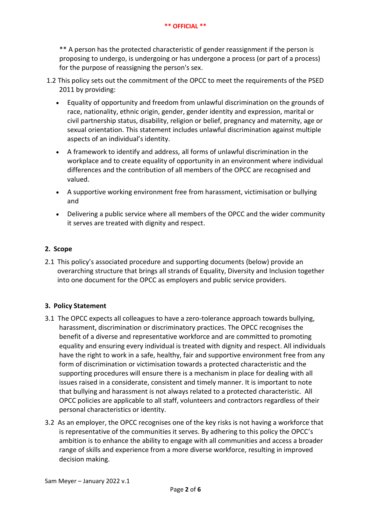\*\* A person has the protected characteristic of gender reassignment if the person is proposing to undergo, is undergoing or has undergone a process (or part of a process) for the purpose of reassigning the person's sex.

- 1.2 This policy sets out the commitment of the OPCC to meet the requirements of the PSED 2011 by providing:
	- Equality of opportunity and freedom from unlawful discrimination on the grounds of race, nationality, ethnic origin, gender, gender identity and expression, marital or civil partnership status, disability, religion or belief, pregnancy and maternity, age or sexual orientation. This statement includes unlawful discrimination against multiple aspects of an individual's identity.
	- A framework to identify and address, all forms of unlawful discrimination in the workplace and to create equality of opportunity in an environment where individual differences and the contribution of all members of the OPCC are recognised and valued.
	- A supportive working environment free from harassment, victimisation or bullying and
	- Delivering a public service where all members of the OPCC and the wider community it serves are treated with dignity and respect.

## **2. Scope**

2.1 This policy's associated procedure and supporting documents (below) provide an overarching structure that brings all strands of Equality, Diversity and Inclusion together into one document for the OPCC as employers and public service providers.

## **3. Policy Statement**

- 3.1 The OPCC expects all colleagues to have a zero-tolerance approach towards bullying, harassment, discrimination or discriminatory practices. The OPCC recognises the benefit of a diverse and representative workforce and are committed to promoting equality and ensuring every individual is treated with dignity and respect. All individuals have the right to work in a safe, healthy, fair and supportive environment free from any form of discrimination or victimisation towards a protected characteristic and the supporting procedures will ensure there is a mechanism in place for dealing with all issues raised in a considerate, consistent and timely manner. It is important to note that bullying and harassment is not always related to a protected characteristic. All OPCC policies are applicable to all staff, volunteers and contractors regardless of their personal characteristics or identity.
- 3.2 As an employer, the OPCC recognises one of the key risks is not having a workforce that is representative of the communities it serves. By adhering to this policy the OPCC's ambition is to enhance the ability to engage with all communities and access a broader range of skills and experience from a more diverse workforce, resulting in improved decision making.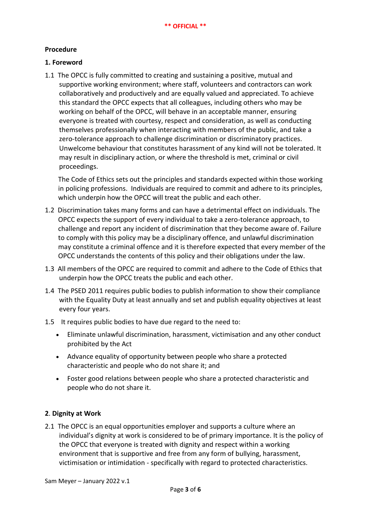## **Procedure**

## **1. Foreword**

1.1 The OPCC is fully committed to creating and sustaining a positive, mutual and supportive working environment; where staff, volunteers and contractors can work collaboratively and productively and are equally valued and appreciated. To achieve this standard the OPCC expects that all colleagues, including others who may be working on behalf of the OPCC, will behave in an acceptable manner, ensuring everyone is treated with courtesy, respect and consideration, as well as conducting themselves professionally when interacting with members of the public, and take a zero-tolerance approach to challenge discrimination or discriminatory practices. Unwelcome behaviour that constitutes harassment of any kind will not be tolerated. It may result in disciplinary action, or where the threshold is met, criminal or civil proceedings.

The Code of Ethics sets out the principles and standards expected within those working in policing professions. Individuals are required to commit and adhere to its principles, which underpin how the OPCC will treat the public and each other.

- 1.2 Discrimination takes many forms and can have a detrimental effect on individuals. The OPCC expects the support of every individual to take a zero-tolerance approach, to challenge and report any incident of discrimination that they become aware of. Failure to comply with this policy may be a disciplinary offence, and unlawful discrimination may constitute a criminal offence and it is therefore expected that every member of the OPCC understands the contents of this policy and their obligations under the law.
- 1.3 All members of the OPCC are required to commit and adhere to the Code of Ethics that underpin how the OPCC treats the public and each other.
- 1.4 The PSED 2011 requires public bodies to publish information to show their compliance with the Equality Duty at least annually and set and publish equality objectives at least every four years.
- 1.5 It requires public bodies to have due regard to the need to:
	- Eliminate unlawful discrimination, harassment, victimisation and any other conduct prohibited by the Act
	- Advance equality of opportunity between people who share a protected characteristic and people who do not share it; and
	- Foster good relations between people who share a protected characteristic and people who do not share it.

## **2**. **Dignity at Work**

2.1The OPCC is an equal opportunities employer and supports a culture where an individual's dignity at work is considered to be of primary importance. It is the policy of the OPCC that everyone is treated with dignity and respect within a working environment that is supportive and free from any form of bullying, harassment, victimisation or intimidation - specifically with regard to protected characteristics.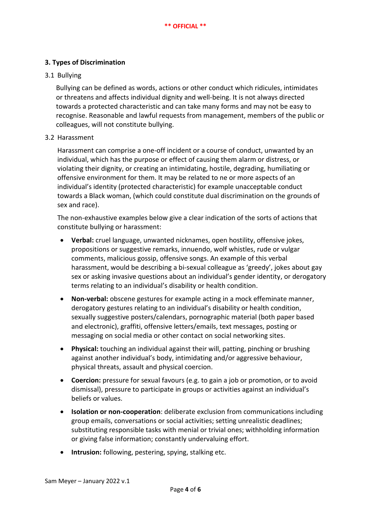## **3. Types of Discrimination**

## 3.1 Bullying

Bullying can be defined as words, actions or other conduct which ridicules, intimidates or threatens and affects individual dignity and well-being. It is not always directed towards a protected characteristic and can take many forms and may not be easy to recognise. Reasonable and lawful requests from management, members of the public or colleagues, will not constitute bullying.

## 3.2 Harassment

Harassment can comprise a one-off incident or a course of conduct, unwanted by an individual, which has the purpose or effect of causing them alarm or distress, or violating their dignity, or creating an intimidating, hostile, degrading, humiliating or offensive environment for them. It may be related to ne or more aspects of an individual's identity (protected characteristic) for example unacceptable conduct towards a Black woman, (which could constitute dual discrimination on the grounds of sex and race).

The non-exhaustive examples below give a clear indication of the sorts of actions that constitute bullying or harassment:

- **Verbal:** cruel language, unwanted nicknames, open hostility, offensive jokes, propositions or suggestive remarks, innuendo, wolf whistles, rude or vulgar comments, malicious gossip, offensive songs. An example of this verbal harassment, would be describing a bi-sexual colleague as 'greedy', jokes about gay sex or asking invasive questions about an individual's gender identity, or derogatory terms relating to an individual's disability or health condition.
- **Non-verbal:** obscene gestures for example acting in a mock effeminate manner, derogatory gestures relating to an individual's disability or health condition, sexually suggestive posters/calendars, pornographic material (both paper based and electronic), graffiti, offensive letters/emails, text messages, posting or messaging on social media or other contact on social networking sites.
- **Physical:** touching an individual against their will, patting, pinching or brushing against another individual's body, intimidating and/or aggressive behaviour, physical threats, assault and physical coercion.
- **Coercion:** pressure for sexual favours (e.g. to gain a job or promotion, or to avoid dismissal), pressure to participate in groups or activities against an individual's beliefs or values.
- **Isolation or non-cooperation**: deliberate exclusion from communications including group emails, conversations or social activities; setting unrealistic deadlines; substituting responsible tasks with menial or trivial ones; withholding information or giving false information; constantly undervaluing effort.
- **Intrusion:** following, pestering, spying, stalking etc.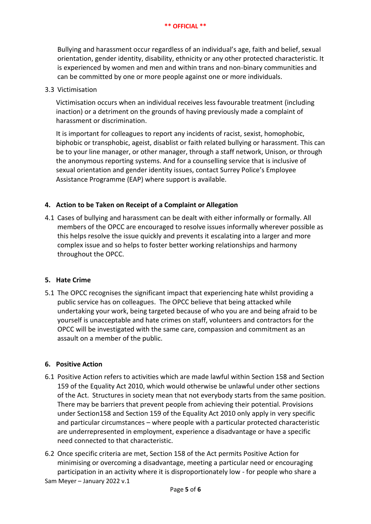Bullying and harassment occur regardless of an individual's age, faith and belief, sexual orientation, gender identity, disability, ethnicity or any other protected characteristic. It is experienced by women and men and within trans and non-binary communities and can be committed by one or more people against one or more individuals.

## 3.3 Victimisation

Victimisation occurs when an individual receives less favourable treatment (including inaction) or a detriment on the grounds of having previously made a complaint of harassment or discrimination.

It is important for colleagues to report any incidents of racist, sexist, homophobic, biphobic or transphobic, ageist, disablist or faith related bullying or harassment. This can be to your line manager, or other manager, through a staff network, Unison, or through the anonymous reporting systems. And for a counselling service that is inclusive of sexual orientation and gender identity issues, contact Surrey Police's Employee Assistance Programme (EAP) where support is available.

## **4. Action to be Taken on Receipt of a Complaint or Allegation**

4.1 Cases of bullying and harassment can be dealt with either informally or formally. All members of the OPCC are encouraged to resolve issues informally wherever possible as this helps resolve the issue quickly and prevents it escalating into a larger and more complex issue and so helps to foster better working relationships and harmony throughout the OPCC.

## **5. Hate Crime**

5.1 The OPCC recognises the significant impact that experiencing hate whilst providing a public service has on colleagues. The OPCC believe that being attacked while undertaking your work, being targeted because of who you are and being afraid to be yourself is unacceptable and hate crimes on staff, volunteers and contractors for the OPCC will be investigated with the same care, compassion and commitment as an assault on a member of the public.

## **6. Positive Action**

- 6.1 Positive Action refers to activities which are made lawful within Section 158 and Section 159 of the Equality Act 2010, which would otherwise be unlawful under other sections of the Act. Structures in society mean that not everybody starts from the same position. There may be barriers that prevent people from achieving their potential. Provisions under Section158 and Section 159 of the Equality Act 2010 only apply in very specific and particular circumstances – where people with a particular protected characteristic are underrepresented in employment, experience a disadvantage or have a specific need connected to that characteristic.
- Sam Meyer January 2022 v.1 6.2 Once specific criteria are met, Section 158 of the Act permits Positive Action for minimising or overcoming a disadvantage, meeting a particular need or encouraging participation in an activity where it is disproportionately low - for people who share a